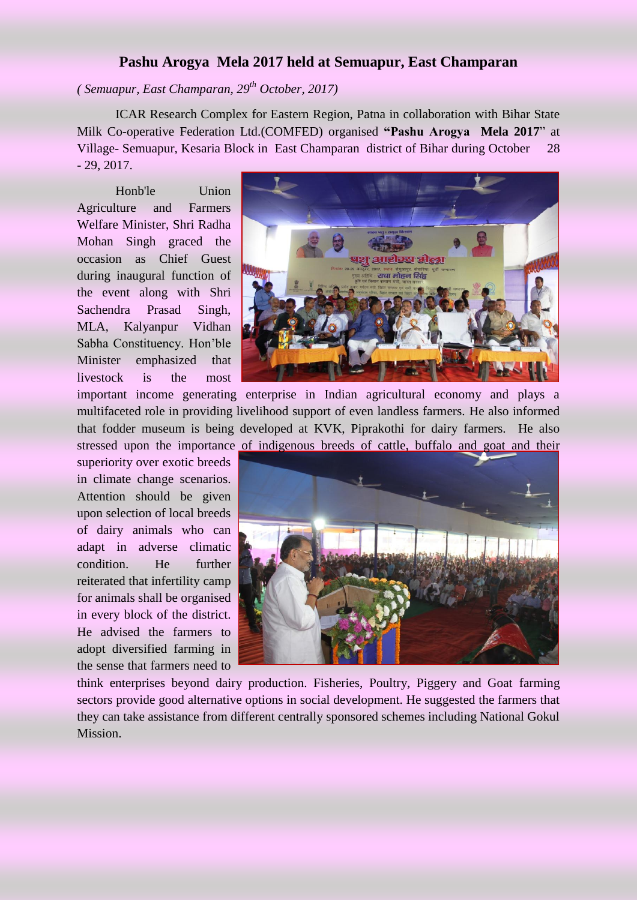## **Pashu Arogya Mela 2017 held at Semuapur, East Champaran**

*( Semuapur, East Champaran, 29th October, 2017)*

ICAR Research Complex for Eastern Region, Patna in collaboration with Bihar State Milk Co-operative Federation Ltd.(COMFED) organised **"Pashu Arogya Mela 2017**" at Village- Semuapur*,* Kesaria Block in East Champaran district of Bihar during October 28 - 29, 2017.

Honb'le Union Agriculture and Farmers Welfare Minister, Shri Radha Mohan Singh graced the occasion as Chief Guest during inaugural function of the event along with Shri Sachendra Prasad Singh, MLA, Kalyanpur Vidhan Sabha Constituency. Hon'ble Minister emphasized that livestock is the most

superiority over exotic breeds in climate change scenarios. Attention should be given upon selection of local breeds of dairy animals who can adapt in adverse climatic condition. He further reiterated that infertility camp for animals shall be organised in every block of the district. He advised the farmers to adopt diversified farming in the sense that farmers need to



important income generating enterprise in Indian agricultural economy and plays a multifaceted role in providing livelihood support of even landless farmers. He also informed that fodder museum is being developed at KVK, Piprakothi for dairy farmers. He also stressed upon the importance of indigenous breeds of cattle, buffalo and goat and their



think enterprises beyond dairy production. Fisheries, Poultry, Piggery and Goat farming sectors provide good alternative options in social development. He suggested the farmers that they can take assistance from different centrally sponsored schemes including National Gokul Mission.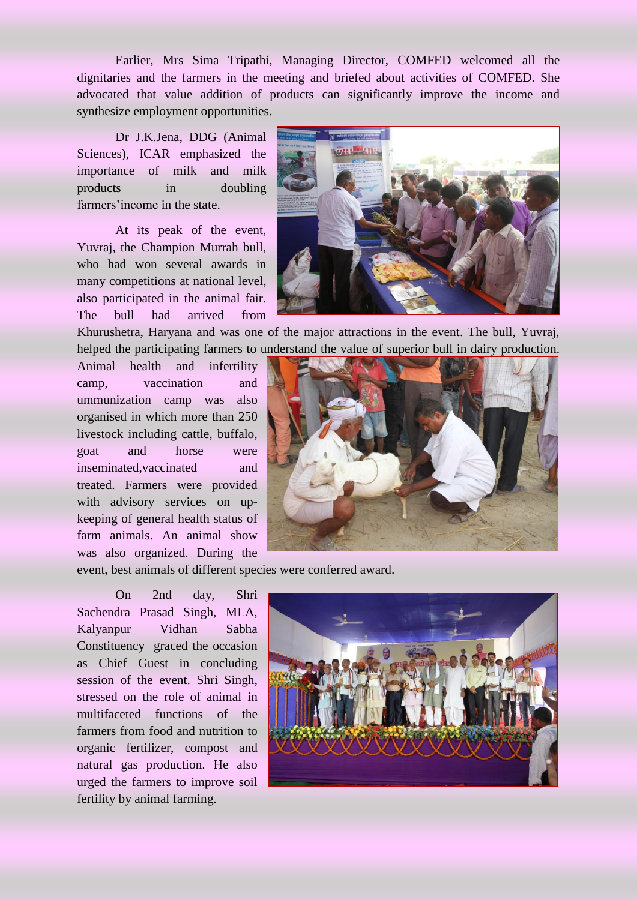Earlier, Mrs Sima Tripathi, Managing Director, COMFED welcomed all the dignitaries and the farmers in the meeting and briefed about activities of COMFED. She advocated that value addition of products can significantly improve the income and synthesize employment opportunities.

Dr J.K.Jena, DDG (Animal Sciences), ICAR emphasized the importance of milk and milk products in doubling farmers'income in the state.

At its peak of the event, Yuvraj, the Champion Murrah bull, who had won several awards in many competitions at national level, also participated in the animal fair. The bull had arrived from



Khurushetra, Haryana and was one of the major attractions in the event. The bull, Yuvraj, helped the participating farmers to understand the value of superior bull in dairy production.

Animal health and infertility camp, vaccination and ummunization camp was also organised in which more than 250 livestock including cattle, buffalo, goat and horse were inseminated,vaccinated and treated. Farmers were provided with advisory services on upkeeping of general health status of farm animals. An animal show was also organized. During the



event, best animals of different species were conferred award.

On 2nd day, Shri Sachendra Prasad Singh, MLA, Kalyanpur Vidhan Sabha Constituency graced the occasion as Chief Guest in concluding session of the event. Shri Singh, stressed on the role of animal in multifaceted functions of the farmers from food and nutrition to organic fertilizer, compost and natural gas production. He also urged the farmers to improve soil fertility by animal farming.